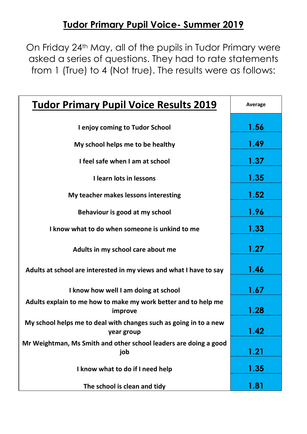## **Tudor Primary Pupil Voice- Summer 2019**

On Friday 24th May, all of the pupils in Tudor Primary were asked a series of questions. They had to rate statements from 1 (True) to 4 (Not true). The results were as follows:

| <b>Tudor Primary Pupil Voice Results 2019</b>                                   | Average |
|---------------------------------------------------------------------------------|---------|
| I enjoy coming to Tudor School                                                  | 1.56    |
| My school helps me to be healthy                                                | 1.49    |
| I feel safe when I am at school                                                 | 1.37    |
| I learn lots in lessons                                                         | 1.35    |
| My teacher makes lessons interesting                                            | 1.52    |
| Behaviour is good at my school                                                  | 1.96    |
| I know what to do when someone is unkind to me                                  | 1.33    |
| Adults in my school care about me                                               | 1.27    |
| Adults at school are interested in my views and what I have to say              | 1.46    |
| I know how well I am doing at school                                            | 1.67    |
| Adults explain to me how to make my work better and to help me<br>improve       | 1.28    |
| My school helps me to deal with changes such as going in to a new<br>year group | 1.42    |
| Mr Weightman, Ms Smith and other school leaders are doing a good<br>job         | 1.21    |
| I know what to do if I need help                                                | 1.35    |
| The school is clean and tidy                                                    | 1.81    |